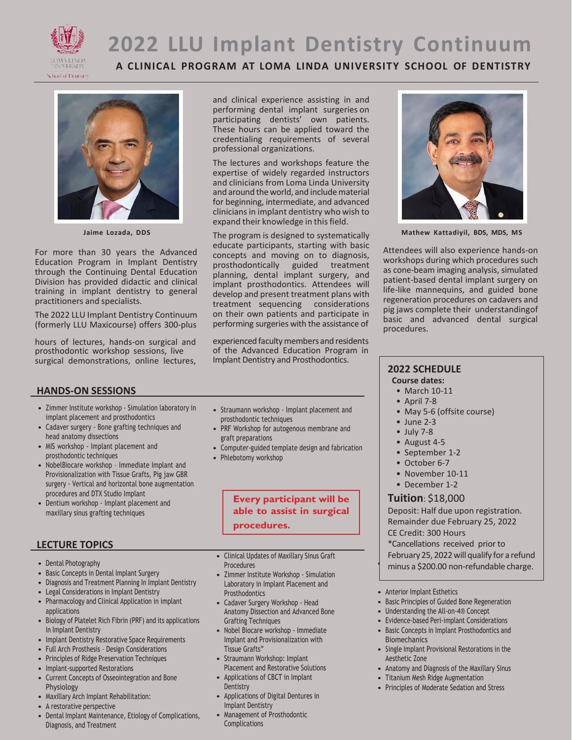

# **2022 LLU Implant Dentistry Continuum**

**A CLINICAL PROGRAM AT LOMA LINDA UNIVERSITY SCHOOL OF DENTISTRY**



**Jaime Lozada, DDS**

For more than 30 years the Advanced Education Program in Implant Dentistry through the Continuing Dental Education Division has provided didactic and clinical training in implant dentistry to general practitioners and specialists.

The 2022 LLU Implant Dentistry Continuum (formerly LLU Maxicourse) offers 300-plus

hours of lectures, hands-on surgical and prosthodontic workshop sessions, live surgical demonstrations, online lectures, and clinical experience assisting in and performing dental implant surgeries on participating dentists' own patients. These hours can be applied toward the credentialing requirements of several professional organizations.

The lectures and workshops feature the expertise of widely regarded instructors and clinicians from Loma Linda University and around the world, and include material for beginning, intermediate, and advanced clinicians in implant dentistry who wish to expand their knowledge in this field.

The program is designed to systematically educate participants, starting with basic concepts and moving on to diagnosis, prosthodontically guided treatment planning, dental implant surgery, and implant prosthodontics. Attendees will develop and present treatment plans with treatment sequencing considerations on their own patients and participate in performing surgeries with the assistance of

experienced faculty members and residents of the Advanced Education Program in Implant Dentistry and Prosthodontics.



- Zimmer Institute workshop Simulation laboratory in implant placement and prosthodontics
- Cadaver surgery Bone grafting techniques and head anatomy dissections
- MIS workshop Implant placement and prosthodontic techniques
- NobelBiocare workshop Immediate Implant and Provisionalization with Tissue Grafts, Pig jaw GBR surgery - Vertical and horizontal bone augmentation procedures and DTX Studio Implant
- Dentium workshop Implant placement and maxillary sinus grafting techniques

#### **LECTURE TOPICS**

- Dental Photography
- Basic Concepts in Dental Implant Surgery
- Diagnosis and Treatment Planning In Implant Dentistry
- Legal Considerations in Implant Dentistry
- Pharmacology and Clinical Application in implant applications
- Biology of Platelet Rich Fibrin (PRF) and its applications In Implant Dentistry
- Implant Dentistry Restorative Space Requirements
- Full Arch Prosthesis Design Considerations
- Principles of Ridge Preservation Techniques
- Implant-supported Restorations
- Current Concepts of Osseointegration and Bone Physiology
- Maxillary Arch Implant Rehabilitation:
- A restorative perspective
- Dental Implant Maintenance, Etiology of Complications, Diagnosis, and Treatment
- Straumann workshop Implant placement and prosthodontic techniques
- PRF Workshop for autogenous membrane and graft preparations
- Computer-guided template design and fabrication
- Phlebotomy workshop

### **Every participant will be able to assist in surgical procedures.**

• Clinical Updates of Maxillary Sinus Graft Procedures

- Zimmer Institute Workshop Simulation Laboratory in Implant Placement and **Prosthodontics**
- Cadaver Surgery Workshop Head Anatomy Dissection and Advanced Bone Grafting Techniques
- Nobel Biocare workshop Immediate Implant and Provisionalization with Tissue Grafts"
- Straumann Workshop: Implant Placement and Restorative Solutions
- Applications of CBCT in Implant **Dentistry**
- Applications of Digital Dentures in Implant Dentistry
- Management of Prosthodontic **Complications**



**Mathew Kattadiyil, BDS, MDS, MS**

Attendees will also experience hands-on workshops during which procedures such as cone-beam imaging analysis, simulated patient-based dental implant surgery on life-like mannequins, and guided bone regeneration procedures on cadavers and pig jaws complete their understandingof basic and advanced dental surgical procedures.

#### **2022 SCHEDULE**

#### **Course dates:**

- March 10-11
- April 7-8
- May 5-6 (offsite course)
- June 2-3
- July 7-8
- August 4-5
- September 1-2
- October 6-7
- November 10-11
- December 1-2

#### **Tuition**: \$18,000

Deposit: Half due upon registration. Remainder due February 25, 2022 CE Credit: 300 Hours \*Cancellations received prior to

February 25, 2022 will qualify for a refund

minus a \$200.00 non-refundable charge.

- Anterior Implant Esthetics
- Basic Principles of Guided Bone Regeneration
- Understanding the All-on-4® Concept
- Evidence-based Peri-implant Considerations
- Basic Concepts in Implant Prosthodontics and **Biomechanics**
- Single Implant Provisional Restorations in the Aesthetic Zone
- Anatomy and Diagnosis of the Maxillary Sinus
- Titanium Mesh Ridge Augmentation
- Principles of Moderate Sedation and Stress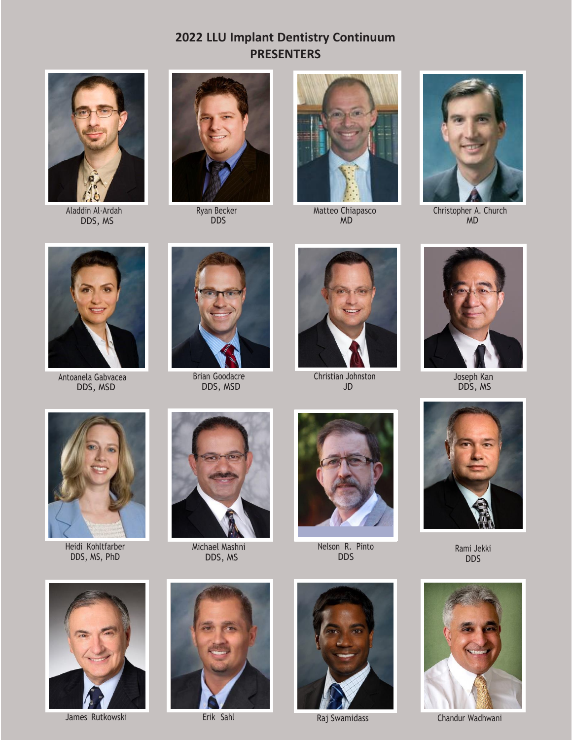## **2022 LLU Implant Dentistry Continuum PRESENTERS**



Aladdin Al-Ardah DDS, MS



Ryan Becker DDS



Matteo Chiapasco MD



Christopher A. Church MD



Antoanela Gabvacea DDS, MSD



Brian Goodacre DDS, MSD



Christian Johnston JD



Joseph Kan DDS, MS



Heidi Kohltfarber DDS, MS, PhD



Michael Mashni DDS, MS



Nelson R. Pinto DDS



Rami Jekki DDS









James Rutkowski **Erik Sahl** Raj Swamidass Chandur Wadhwani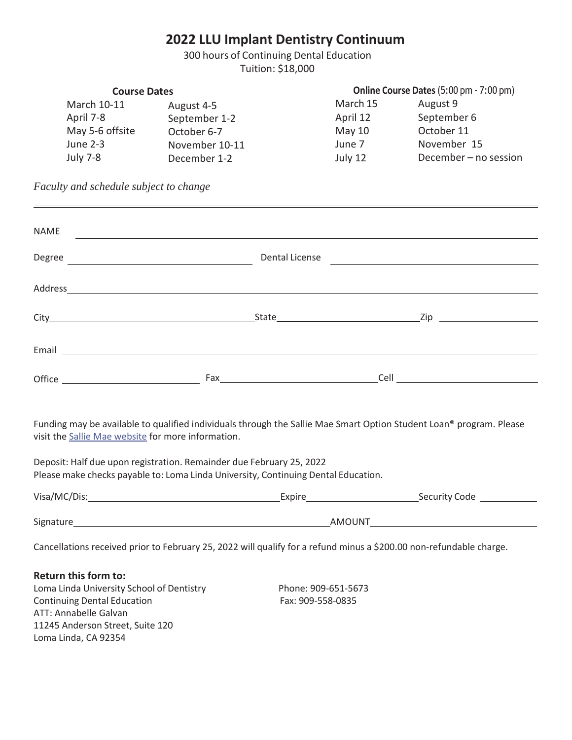## **2022 LLU Implant Dentistry Continuum**

300 hours of Continuing Dental Education Tuition: \$18,000

| <b>Course Dates</b> |                | Online Course Dates (5:00 pm - 7:00 pm) |                       |  |
|---------------------|----------------|-----------------------------------------|-----------------------|--|
| March 10-11         | August 4-5     | March 15                                | August 9              |  |
| April 7-8           | September 1-2  | April 12                                | September 6           |  |
| May 5-6 offsite     | October 6-7    | May $10$                                | October 11            |  |
| June 2-3            | November 10-11 | June 7                                  | November 15           |  |
| <b>July 7-8</b>     | December 1-2   | July 12                                 | December - no session |  |

*Faculty and schedule subject to change*

| <b>NAME</b> |  |                                        |                                      |
|-------------|--|----------------------------------------|--------------------------------------|
|             |  | Dental License                         |                                      |
|             |  |                                        |                                      |
|             |  |                                        |                                      |
|             |  |                                        |                                      |
|             |  | Fax <u>___________________________</u> | <b>Cell Cell Cell Cell Cell Cell</b> |

Funding may be available to qualified individuals through the Sallie Mae Smart Option Student Loan® program. Please visit the Sallie Mae website for more information.

Deposit: Half due upon registration. Remainder due February 25, 2022 Please make checks payable to: Loma Linda University, Continuing Dental Education.

| Visa/MC/Dis: | Expire        | Security Code |
|--------------|---------------|---------------|
|              |               |               |
| Signature    | <b>AMOUNT</b> |               |

Cancellations received prior to February 25, 2022 will qualify for a refund minus a \$200.00 non-refundable charge.

**Return this form to:** Loma Linda University School of Dentistry Phone: 909-651-5673 Continuing Dental Education Fax: 909-558-0835 ATT: Annabelle Galvan 11245 Anderson Street, Suite 120 Loma Linda, CA 92354